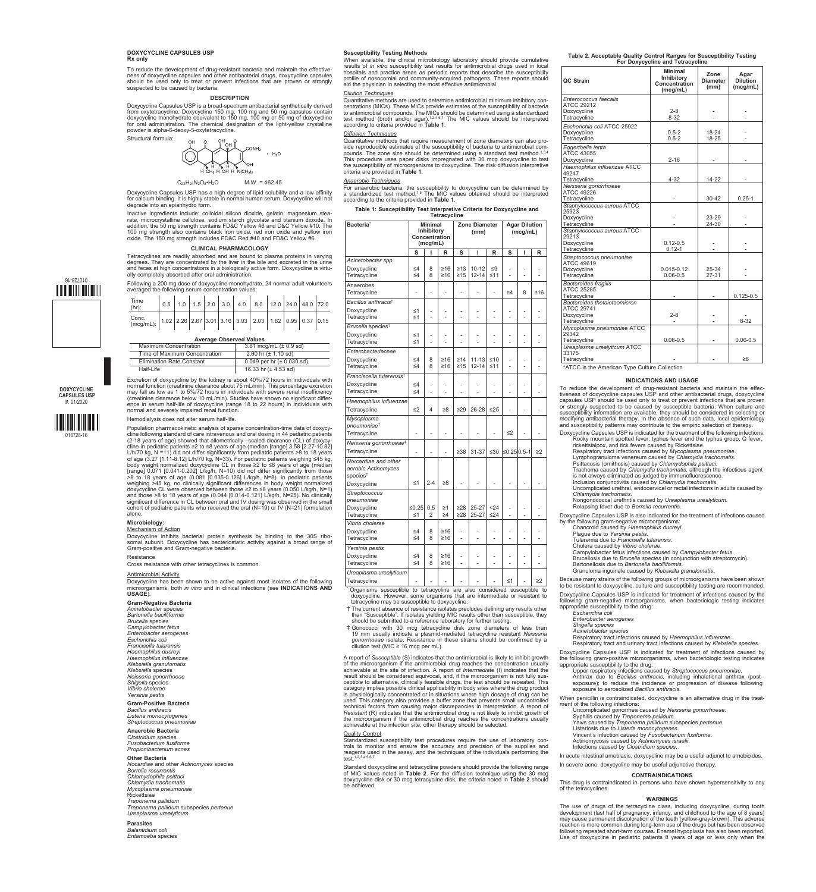# **DOXYCYCLINE CAPSULES USP Rx only**

To reduce the development of drug-resistant bacteria and maintain the effective-<br>ness of doxycycline capsules and other antibacterial drugs, doxycycline capsules<br>should be used only to treat or prevent infections that are suspected to be caused by bacteria.

**DESCRIPTION**<br>from oxytetracycline. Doxycycline are broad-spectrum antibacterial synthetically derived<br>from oxytetracycline. Doxycycline for mg, 100 mg and 50 mg capsules contain<br>doxycycline monohydrate equivalent to 150 m powder is alpha-6-deoxy-5-oxytetracycline.

Structural formula:

 $\frac{1}{2}$ CONH<sub>2</sub>  $\cdot$  H<sub>2</sub>O `ОН  $N$ (CH<sub>3</sub>)<sub>2</sub>

rate, microcrystalline cellulose, sodium starch glycolate and titanium dioxide. In<br>addition, the 50 mg strength contains FD&C Yellow #6 and D&C Yellow #10. The<br>100 mg strength also contains black iron oxide, red iron oxide oxide. The 150 mg strength includes FD&C Red #40 and FD&C Yellow #6.

Tetracyclines are readily absorbed and are bound to plasma proteins in varying degrees. They are concentrated by the liver in the bile and excreted in the urine and feces at high concentrations in a biologically active form. Doxycycline is virtually completely absorbed after oral administration.

Following a 200 mg dose of doxycycline monohydrate, 24 normal adult volunteers averaged the following serum concentration values:



# **Average Observed Values**

| Maximum Concentration            | 3.61 mcg/mL $(\pm 0.9 \text{ sd})$    |
|----------------------------------|---------------------------------------|
| Time of Maximum Concentration    | 2.60 hr $(\pm 1.10 \text{ sd})$       |
| <b>Elimination Rate Constant</b> | 0.049 per hr $(\pm 0.030 \text{ sd})$ |
| Half-Life                        | 16.33 hr $(\pm 4.53 \text{ sd})$      |

Excretion of doxycycline by the kidney is about 40%/72 hours in individuals with normal function (creatinine clearance about 75 mL/min). This percentage excretion may fall as low as 1 to 5%/72 hours in individuals with severe renal insufficiency (creatinine clearance below 10 mL/min). Studies have shown no significant difference in serum half-life of doxycycline (range 18 to 22 hours) in individuals with normal and severely impaired renal function.

# Hemodialysis does not alter serum half-life.

Population pharmacokinetic analysis of sparse concentration-time data of doxycycline following standard of care intravenous and oral dosing in 44 pediatric paties<br>(2-18 years of age) showed that allometrically –scaled clearance (CL) of doxycy-<br>cline in pediatric patients  $\geq 2$  to  $\leq 8$  years of significant difference in CL between oral and IV dosing was observed in the small cohort of pediatric patients who received the oral (N=19) or IV (N=21) formulation alone.

**DOXYCYCLINE CAPSULES USP** R 01/2020

91-97/010

<u> HIII HIII HIII HIII HII</u>

010726-16

# **Microbiology:**  Mechanism of Action

Doxycycline inhibits bacterial protein synthesis by binding to the 30S ribo-somal subunit. Doxycycline has bacteriostatic activity against a broad range of Gram-positive and Gram-negative bacteria.

Resistance Cross resistance with other tetracyclines is common.

# **Antimicrobial Activity**

Doxycycline has been shown to be active against most isolates of the following microorganisms, both *in vitro* and in clinical infections (see **INDICATIONS AND USAGE**).

**Gram-Negative Bacteria**

*Acinetobacter* species *Bartonella bacilliformis Brucella* species *Campylobacter fetus Enterobacter aerogenes Escherichia coli Francisella tularensis Haemophilus ducreyi Haemophilus influenzae Klebsiella granulomatis Klebsiella* species *Neisseria gonorrhoeae Shigella* species *Vibrio cholerae Yersinia pestis*

#### **Gram-Positive Bacteria** *Bacillus anthracis Listeria monocytogenes Streptococcus pneumoniae*

**Anaerobic Bacteria** *Clostridium* species *Fusobacterium fusiforme Propionibacterium acnes*

#### **Other Bacteria**

*Nocardiae* and other *Actinomyces* species *Borrelia recurrentis* 

# *Chlamydophila psittaci*

*Chlamydia trachomatis Mycoplasma pneumoniae*  Rickettsiae *Treponema pallidum Treponema pallidum* subspecies *pertenue Ureaplasma urealyticum*

#### **Parasites** *Balantidium coli*

*Entamoeba* species

### **Susceptibility Testing Methods**

When available, the clinical microbiology laboratory should provide cumulative<br>results of *in vitro* susceptibility test results for antimicrobial drugs used in local<br>hospitals and practice areas as periodic reports that d profile of nosocomial and community-acquired pathogens. These reports should aid the physician in selecting the most effective antimicrobial.

## *Dilution Techniques*

Quantitative methods are used to determine antimicrobial minimum inhibitory concentrations (MICs). These MICs provide estimates of the susceptibility of bacteria<br>to antimicrobial compounds. The MICs should be determined using a standardized<br>test\_method\_(broth\_and/or\_agar).<sup>1,2,4,6,7</sup>\_The\_MIC\_values\_s

## *Diffusion Techniques*

Quantitative methods that require measurement of zone diameters can also provide reproducible estimates of the susceptibility of bacteria to antimicrobial com-<br>pounds. The zone size should be determined using a standard test method.<sup>1,3,4</sup><br>This procedure uses paper disks impregnated with 30 mcg do

### *Anaerobic Techniques*

For anaerobic bacteria, the susceptibility to doxycycline can be determined by a standardized test method.1,5 The MIC values obtained should be interpreted according to the criteria provided in **Table 1**.

# **Table 1: Susceptibility Test Interpretive Criteria for Doxycycline and Tetracycline**

| Bacteria <sup>*</sup>                                                              |                      | <b>Minimal</b><br>Inhibitory<br>Concentration<br>(mcg/mL) |                        | Zone Diameter<br>(mm)  |                        |                 | <b>Agar Dilution</b><br>(mcg/mL) |          |           |  |
|------------------------------------------------------------------------------------|----------------------|-----------------------------------------------------------|------------------------|------------------------|------------------------|-----------------|----------------------------------|----------|-----------|--|
|                                                                                    | s                    | ı                                                         | R                      | S                      | ı                      | R               | s                                | ı        | R         |  |
| Acinetobacter spp.<br>Doxycycline<br>Tetracycline                                  | $\leq 4$<br>$\leq 4$ | 8<br>8                                                    | $\geq 16$<br>$\geq 16$ | $\geq 13$<br>$\geq 15$ | $10 - 12$<br>$12 - 14$ | $\leq 9$<br>≤11 |                                  |          |           |  |
| Anaerobes<br>Tetracycline                                                          |                      |                                                           |                        |                        |                        |                 | $\leq 4$                         | 8        | $\geq 16$ |  |
| Bacillus anthracis <sup>t</sup><br>Doxycycline<br>Tetracycline                     | $\leq 1$<br>$\leq 1$ | ä,                                                        |                        |                        |                        |                 |                                  |          |           |  |
| Brucella species <sup>t</sup><br>Doxycycline<br>Tetracycline                       | $\leq 1$<br>$\leq 1$ |                                                           |                        |                        |                        |                 |                                  |          |           |  |
| Enterobacteriaceae<br>Doxycycline<br>Tetracycline                                  | $\leq 4$<br>$\leq 4$ | 8<br>R                                                    | $\geq 16$<br>$\geq 16$ | $\geq 14$<br>$\geq 15$ | $11 - 13$<br>$12 - 14$ | ≤10<br>≤11      |                                  |          |           |  |
| Franciscella tularensis <sup>t</sup><br>Doxycycline<br>Tetracycline                | $\leq 4$<br>$\leq 4$ | ä,                                                        |                        |                        |                        |                 |                                  |          |           |  |
| Haemophilus influenzae<br>Tetracycline                                             | $\leq$ 2             | $\overline{\mathbf{4}}$                                   | $\geq 8$               | $\geq$ 29              | 26-28                  | ≤25             |                                  |          |           |  |
| Mycoplasma<br>pneumoniae <sup>t</sup><br>Tetracycline                              |                      | ä,                                                        | ä,                     | ä,                     |                        | ä,              | $\leq$ 2                         |          |           |  |
| Neisseria gonorrhoeae <sup>‡</sup><br>Tetracycline                                 | ÷,                   | ÷,                                                        | L                      | $\geq 38$              | 31-37                  | ≤30             | ≤0.25l0.5-1                      |          | $\geq$ 2  |  |
| Norcardiae and other<br>aerobic Actinomyces<br>species <sup>†</sup><br>Doxycycline | $\leq 1$             | $2 - 4$                                                   | $\geq 8$               |                        |                        |                 |                                  |          |           |  |
| <b>Streptococcus</b><br>pneumoniae<br>Doxycycline                                  | ≤0.25<br>$\leq 1$    | 0.5<br>$\overline{2}$                                     | $\geq$ 1<br>$\geq 4$   | $\geq$ 28<br>$\geq$ 28 | $25 - 27$<br>$25 - 27$ | 24<br>$\leq$ 24 | ä,<br>L,                         | ä,<br>÷, |           |  |
| Tetracycline<br>Vibrio cholerae<br>Doxycycline<br>Tetracycline                     | $\leq 4$<br>$\leq 4$ | 8<br>8                                                    | $\geq 16$<br>$\geq 16$ | L                      | L                      | L               |                                  |          |           |  |
| Yersinia pestis<br>Doxycycline<br>Tetracycline                                     | $\leq 4$<br>$\leq 4$ | 8<br>8                                                    | $\geq 16$<br>$\geq 16$ | i.<br>L                | ä,                     | ä,              |                                  |          |           |  |
| Ureaplasma urealyticum<br>Tetracycline                                             |                      |                                                           |                        |                        |                        |                 | $\leq 1$                         |          | $\geq$ 2  |  |

\* Organisms susceptible to tetracycline are also considered susceptible to

- doxycycline. However, some organisms that are intermediate or resistant to tetracycline may be susceptible to doxycycline. † The current absence of resistance isolates precludes defining any results other
- than "Susceptible". If isolates yielding MIC results other than susceptible, they<br>should be submitted to a reference laboratory for further testing.<br>4 Gonococci with 30 mcg tetracycline disk zone diameters of less than<br>19
- *gonorrhoeae* isolate. Resistance in these strains should be confirmed by a dilution test (MIC ≥ 16 mcg per mL).

A report of *Susceptible* (S) indicates that the antimicrobial is likely to inhibit growth of the microorganism if the antimicrobial drug reaches the concentration usually<br>achievable at the site of infection. A report of *Intermediate* (I) indicates that the<br>result should be considered equivocal, and, if the mic is physiologically concentrated or in situations where high dosage of drug can be used. This category also provides a buffer zone that prevents small uncontrolled<br>technical factors from causing major discrepancies in interpretation. A report of<br>*Resistant* (R) indicates that the antimicrobial drug is no the microorganism if the antimicrobial drug reaches the concentrations usually achievable at the infection site; other therapy should be selected.

Quality Control Standardized susceptibility test procedures require the use of laboratory controls to monitor and ensure the accuracy and precision of the supplies and<br>reagents used in the assay, and the techniques of the individuals performing the<br>test.<sup>1,2,3,4,5,6,7</sup>

Standard doxycycline and tetracycline powders should provide the following range<br>of MIC values noted in T**able** 2. For the diffusion technique using the 30 mcg<br>doxycycline disk or 30 mcg tetracycline disk, the criteria not be achieved.

# **Table 2. Acceptable Quality Control Ranges for Susceptibility Testing For Doxycycline and Tetracycline**

| QC Strain                                                                        | Minimal<br><b>Inhibitory</b><br>Concentration<br>(mcq/mL) | Zone<br><b>Diameter</b><br>(mm) | Agar<br><b>Dilution</b><br>(mcq/mL) |
|----------------------------------------------------------------------------------|-----------------------------------------------------------|---------------------------------|-------------------------------------|
| Enterococcus faecalis<br><b>ATCC 29212</b><br>Doxycycline<br>Tetracycline        | $2 - 8$<br>$8-32$                                         |                                 |                                     |
| Escherichia coli ATCC 25922<br>Doxycycline<br>Tetracycline                       | $0.5 - 2$<br>$0.5 - 2$                                    | 18-24<br>18-25                  |                                     |
| Eggerthella lenta<br>ATCC 43055<br>Doxycycline                                   | $2 - 16$                                                  |                                 |                                     |
| Haemophilus influenzae ATCC<br>49247<br>Tetracycline                             | $4 - 32$                                                  | 14-22                           |                                     |
| Neisseria gonorrhoeae<br>ATCC 49226<br>Tetracycline                              |                                                           | 30-42                           | $0.25 - 1$                          |
| Staphylococcus aureus ATCC<br>25923<br>Doxycycline<br>Tetracycline               |                                                           | 23-29<br>24-30                  |                                     |
| Staphylococcus aureus ATCC<br>29213<br>Doxycycline<br>Tetracycline               | $0.12 - 0.5$<br>$0.12 - 1$                                |                                 |                                     |
| Streptococcus pneumoniae<br>ATCC 49619<br>Doxycycline<br>Tetracycline            | $0.015 - 0.12$<br>$0.06 - 0.5$                            | 25-34<br>$27 - 31$              |                                     |
| <b>Bacteroides fragilis</b><br><b>ATCC 25285</b><br>Tetracycline                 |                                                           |                                 | $0.125 - 0.5$                       |
| Bacteroides thetaiotaomicron<br><b>ATCC 29741</b><br>Doxycycline<br>Tetracycline | $2 - 8$                                                   |                                 | $8 - 32$                            |
| Mycoplasma pneumoniae ATCC<br>29342<br>Tetracycline                              | $0.06 - 0.5$                                              |                                 | $0.06 - 0.5$                        |
| Ureaplasma urealyticum ATCC<br>33175<br>Tetracycline                             |                                                           |                                 | ≥8                                  |

\*ATCC is the American Type Culture Collection

#### **INDICATIONS AND USAGE**

To reduce the development of drug-resistant bacteria and maintain the effec-<br>tiveness of doxycycline capsules USP and other antibacterial drugs, doxycycline<br>capsules USP should be used only to treat or prevent infections t or strongly suspected to be caused by susceptible bacteria. When culture and<br>susceptibility information are available, they should be considered in selecting or<br>modifying antibacterial therapy. In the absence of such data,

Doxycycline Capsules USP is indicated for the treatment of the following infections: Rocky mountain spotted fever, typhus fever and the typhus group, Q fever,<br>rickettsialpox, and tick fevers caused by Rickettsiae.<br>Respiratory tract infections caused by Mycoplasma pneumoniae.<br>Lymphogranuloma venereum caused

- 
- 

Psittacosis (ornithosis) caused by *Chlamydophila psittaci*.<br>Trachoma caused by *Chlamydia trachomatis*, although the infectious agent<br>is not always eliminated as judged by immunofluorescence.<br>Inclusion conjunctivitis caus

- 
- *Chlamydia trachomatis*.

Nongonococcal urethritis caused by *Ureaplasma urealyticum*. Relapsing fever due to *Borrelia recurrentis*.

Doxycycline Capsules USP is also indicated for the treatment of infections caused

by the following gram-negative microorganisms: Chancroid caused by *Haemophilus ducreyi*.

- Plague due to *Yersinia pestis*. Tularemia due to *Francisella tularensis*.
- 

Cholera caused by *Vibrio cholerae.*<br>Campylobacter fetus infections caused by *Campylobacter fetus.*<br>Brucellosis due to *Brucella species* (in conjunction with streptomycin).<br>Bartonellosis due to *Bartonella bacilliformis.* 

- 
- Granuloma inguinale caused by *Klebsiella granulomatis*.

Because many strains of the following groups of microorganisms have been shown to be resistant to doxycycline, culture and susceptibility testing are recommended.

Doxycycline Capsules USP is indicated for treatment of infections caused by the following gram-negative microorganisms, when bacteriologic testing indicates appropriate susceptibility to the drug:

- *Escherichia coli Enterobacter aerogenes*
	- *Shigella species*
	- *Acinetobacter species*

Respiratory tract infections caused by *Haemophilus influenzae*. Respiratory tract and urinary tract infections caused by *Klebsiella species*.

Doxycycline Capsules USP is indicated for treatment of infections caused by the following gram-positive microorganisms, when bacteriologic testing indicates

appropriate susceptibility to the drug:<br>Upper respiratory infections caused by *Streptococcus pneumoniae.*<br>Anthrax due to *Bacillus anthracis*, including inhalational anthrax (post-

exposure); to reduce the incidence or progression of disease following exposure to aerosolized *Bacillus anthracis*.

When penicillin is contraindicated, doxycycline is an alternative drug in the treatment of the following infections: Uncomplicated gonorrhea caused by *Neisseria gonorrhoea*e.

- Syphilis caused by *Treponema pallidum*.
- 
- Yaws caused by *Treponema pallidum* subspecies *pertenue*. Listeriosis due to *Listeria monocytogenes*. Vincent's infection caused by *Fusobacterium fusiforme*.
- 
- Actinomycosis caused by *Actinomyces israelii*. Infections caused by *Clostridium species*.

In acute intestinal amebiasis, doxycycline may be a useful adjunct to amebicides In severe acne, doxycycline may be useful adjunctive therapy.

### **CONTRAINDICATIONS**

This drug is contraindicated in persons who have shown hypersensitivity to any of the tetracyclines.

### **WARNINGS**

The use of drugs of the tetracycline class, including doxycycline, during tooth development (last half of pregnancy, infancy, and childhood to the age of 8 years)<br>may cause permanent discoloration of the teeth (yellow-gray-brown). This adverse<br>reaction is more common during long-term use of the drugs Use of doxycycline in pediatric patients 8 years of age or less only when the



 $C_{22}H_{24}N_2O_8\bullet H_2O$  M.W. = 462.45

Doxycycline Capsules USP has a high degree of lipid solubility and a low affinity for calcium binding. It is highly stable in normal human serum. Doxycycline will not degrade into an epianhydro form.

Inactive ingredients include: colloidal silicon dioxide, gelatin, magnesium stea-

# **CLINICAL PHARMACOLOGY**